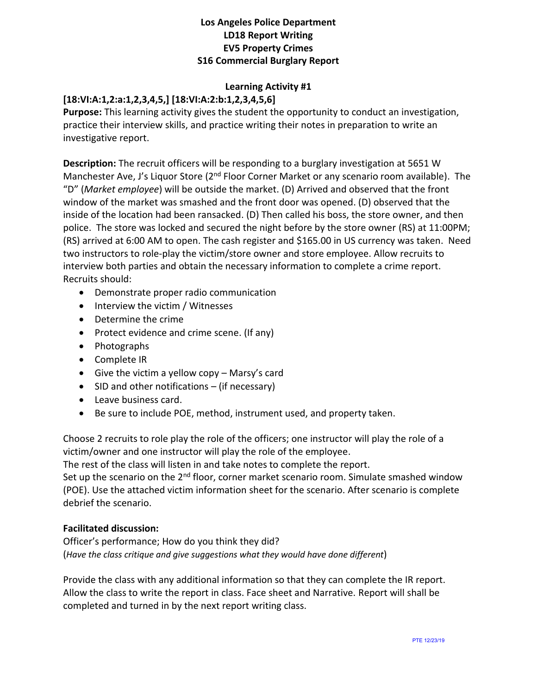### **Los Angeles Police Department LD18 Report Writing EV5 Property Crimes S16 Commercial Burglary Report**

## **Learning Activity #1**

# **[18:VI:A:1,2:a:1,2,3,4,5,] [18:VI:A:2:b:1,2,3,4,5,6]**

**Purpose:** This learning activity gives the student the opportunity to conduct an investigation, practice their interview skills, and practice writing their notes in preparation to write an investigative report.

**Description:** The recruit officers will be responding to a burglary investigation at 5651 W Manchester Ave, J's Liquor Store (2<sup>nd</sup> Floor Corner Market or any scenario room available). The "D" (*Market employee*) will be outside the market. (D) Arrived and observed that the front window of the market was smashed and the front door was opened. (D) observed that the inside of the location had been ransacked. (D) Then called his boss, the store owner, and then police. The store was locked and secured the night before by the store owner (RS) at 11:00PM; (RS) arrived at 6:00 AM to open. The cash register and \$165.00 in US currency was taken. Need two instructors to role-play the victim/store owner and store employee. Allow recruits to interview both parties and obtain the necessary information to complete a crime report. Recruits should:

- Demonstrate proper radio communication
- Interview the victim / Witnesses
- Determine the crime
- Protect evidence and crime scene. (If any)
- Photographs
- Complete IR
- Give the victim a yellow copy Marsy's card
- SID and other notifications (if necessary)
- Leave business card.
- Be sure to include POE, method, instrument used, and property taken.

Choose 2 recruits to role play the role of the officers; one instructor will play the role of a victim/owner and one instructor will play the role of the employee.

The rest of the class will listen in and take notes to complete the report.

Set up the scenario on the  $2<sup>nd</sup>$  floor, corner market scenario room. Simulate smashed window (POE). Use the attached victim information sheet for the scenario. After scenario is complete debrief the scenario.

### **Facilitated discussion:**

Officer's performance; How do you think they did? (*Have the class critique and give suggestions what they would have done different*)

Provide the class with any additional information so that they can complete the IR report. Allow the class to write the report in class. Face sheet and Narrative. Report will shall be completed and turned in by the next report writing class.